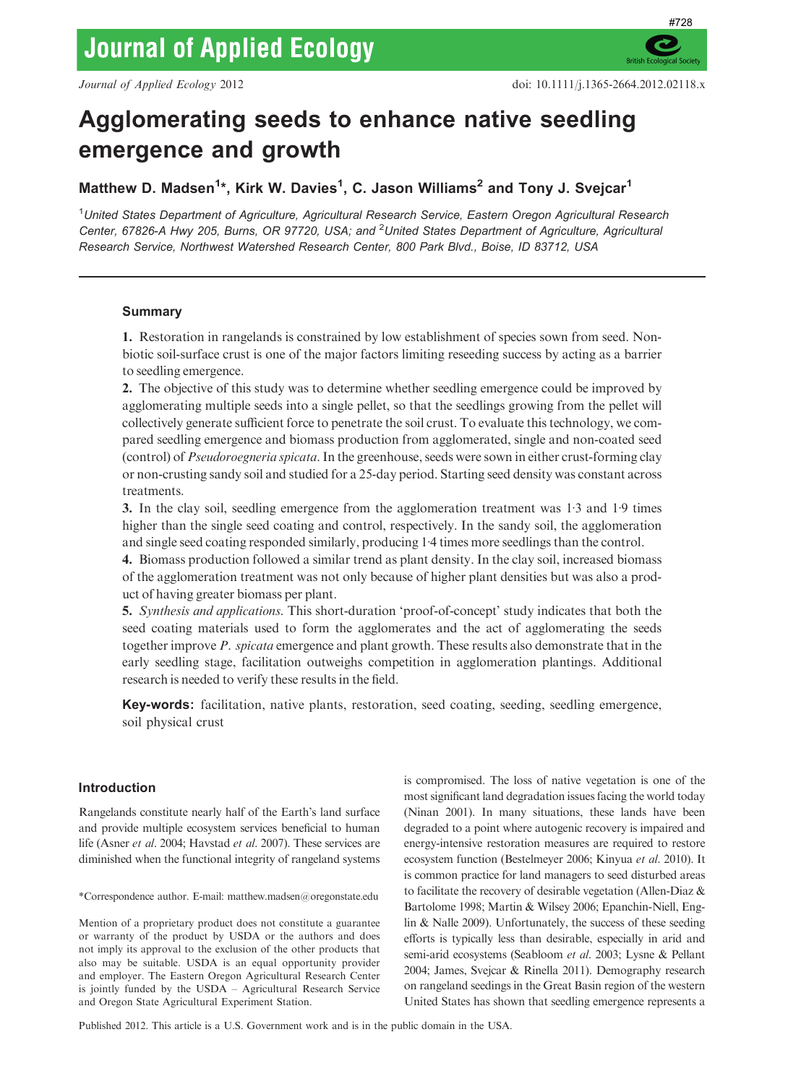**British E** 

# Agglomerating seeds to enhance native seedling emergence and growth

Matthew D. Madsen<sup>1\*</sup>, Kirk W. Davies<sup>1</sup>, C. Jason Williams<sup>2</sup> and Tony J. Svejcar<sup>1</sup>

<sup>1</sup>United States Department of Agriculture, Agricultural Research Service, Eastern Oregon Agricultural Research Center, 67826-A Hwy 205, Burns, OR 97720, USA; and <sup>2</sup>United States Department of Agriculture, Agricultural Research Service, Northwest Watershed Research Center, 800 Park Blvd., Boise, ID 83712, USA

# Summary

1. Restoration in rangelands is constrained by low establishment of species sown from seed. Nonbiotic soil-surface crust is one of the major factors limiting reseeding success by acting as a barrier to seedling emergence.

2. The objective of this study was to determine whether seedling emergence could be improved by agglomerating multiple seeds into a single pellet, so that the seedlings growing from the pellet will collectively generate sufficient force to penetrate the soil crust. To evaluate this technology, we compared seedling emergence and biomass production from agglomerated, single and non-coated seed (control) of Pseudoroegneria spicata. In the greenhouse, seeds were sown in either crust-forming clay or non-crusting sandy soil and studied for a 25-day period. Starting seed density was constant across treatments.

3. In the clay soil, seedling emergence from the agglomeration treatment was  $1·3$  and  $1·9$  times higher than the single seed coating and control, respectively. In the sandy soil, the agglomeration and single seed coating responded similarly, producing 1.4 times more seedlings than the control.

4. Biomass production followed a similar trend as plant density. In the clay soil, increased biomass of the agglomeration treatment was not only because of higher plant densities but was also a product of having greater biomass per plant.

5. Synthesis and applications. This short-duration 'proof-of-concept' study indicates that both the seed coating materials used to form the agglomerates and the act of agglomerating the seeds together improve P. spicata emergence and plant growth. These results also demonstrate that in the early seedling stage, facilitation outweighs competition in agglomeration plantings. Additional research is needed to verify these results in the field.

Key-words: facilitation, native plants, restoration, seed coating, seeding, seedling emergence, soil physical crust

# Introduction

Rangelands constitute nearly half of the Earth's land surface and provide multiple ecosystem services beneficial to human life (Asner et al. 2004; Havstad et al. 2007). These services are diminished when the functional integrity of rangeland systems

\*Correspondence author. E-mail: matthew.madsen@oregonstate.edu

Mention of a proprietary product does not constitute a guarantee or warranty of the product by USDA or the authors and does not imply its approval to the exclusion of the other products that also may be suitable. USDA is an equal opportunity provider and employer. The Eastern Oregon Agricultural Research Center is jointly funded by the USDA – Agricultural Research Service and Oregon State Agricultural Experiment Station.

is compromised. The loss of native vegetation is one of the most significant land degradation issues facing the world today (Ninan 2001). In many situations, these lands have been degraded to a point where autogenic recovery is impaired and energy-intensive restoration measures are required to restore ecosystem function (Bestelmeyer 2006; Kinyua et al. 2010). It is common practice for land managers to seed disturbed areas to facilitate the recovery of desirable vegetation (Allen-Diaz & Bartolome 1998; Martin & Wilsey 2006; Epanchin-Niell, Englin & Nalle 2009). Unfortunately, the success of these seeding efforts is typically less than desirable, especially in arid and semi-arid ecosystems (Seabloom et al. 2003; Lysne & Pellant 2004; James, Svejcar & Rinella 2011). Demography research on rangeland seedings in the Great Basin region of the western United States has shown that seedling emergence represents a

Published 2012. This article is a U.S. Government work and is in the public domain in the USA.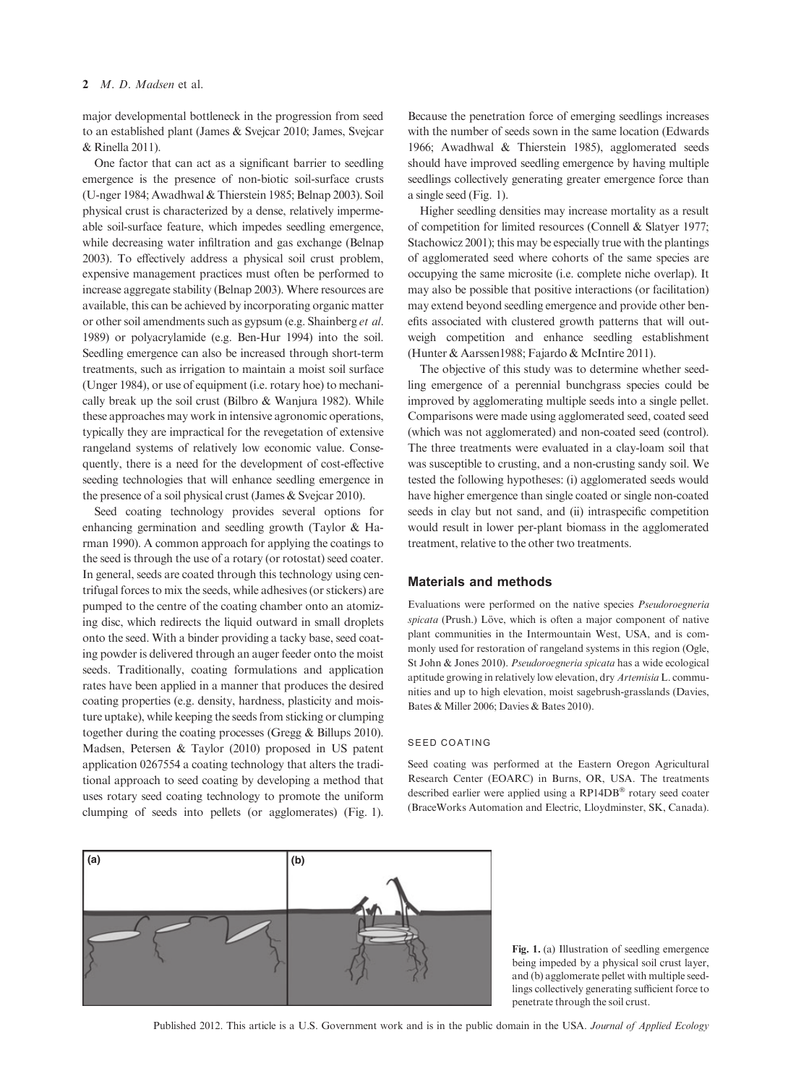major developmental bottleneck in the progression from seed to an established plant (James & Svejcar 2010; James, Svejcar & Rinella 2011).

One factor that can act as a significant barrier to seedling emergence is the presence of non-biotic soil-surface crusts (U-nger 1984; Awadhwal & Thierstein 1985; Belnap 2003). Soil physical crust is characterized by a dense, relatively impermeable soil-surface feature, which impedes seedling emergence, while decreasing water infiltration and gas exchange (Belnap 2003). To effectively address a physical soil crust problem, expensive management practices must often be performed to increase aggregate stability (Belnap 2003). Where resources are available, this can be achieved by incorporating organic matter or other soil amendments such as gypsum (e.g. Shainberg et al. 1989) or polyacrylamide (e.g. Ben-Hur 1994) into the soil. Seedling emergence can also be increased through short-term treatments, such as irrigation to maintain a moist soil surface (Unger 1984), or use of equipment (i.e. rotary hoe) to mechanically break up the soil crust (Bilbro & Wanjura 1982). While these approaches may work in intensive agronomic operations, typically they are impractical for the revegetation of extensive rangeland systems of relatively low economic value. Consequently, there is a need for the development of cost-effective seeding technologies that will enhance seedling emergence in the presence of a soil physical crust (James & Svejcar 2010).

Seed coating technology provides several options for enhancing germination and seedling growth (Taylor & Harman 1990). A common approach for applying the coatings to the seed is through the use of a rotary (or rotostat) seed coater. In general, seeds are coated through this technology using centrifugal forces to mix the seeds, while adhesives (or stickers) are pumped to the centre of the coating chamber onto an atomizing disc, which redirects the liquid outward in small droplets onto the seed. With a binder providing a tacky base, seed coating powder is delivered through an auger feeder onto the moist seeds. Traditionally, coating formulations and application rates have been applied in a manner that produces the desired coating properties (e.g. density, hardness, plasticity and moisture uptake), while keeping the seeds from sticking or clumping together during the coating processes (Gregg & Billups 2010). Madsen, Petersen & Taylor (2010) proposed in US patent application 0267554 a coating technology that alters the traditional approach to seed coating by developing a method that uses rotary seed coating technology to promote the uniform clumping of seeds into pellets (or agglomerates) (Fig. 1). Because the penetration force of emerging seedlings increases with the number of seeds sown in the same location (Edwards 1966; Awadhwal & Thierstein 1985), agglomerated seeds should have improved seedling emergence by having multiple seedlings collectively generating greater emergence force than a single seed (Fig. 1).

Higher seedling densities may increase mortality as a result of competition for limited resources (Connell & Slatyer 1977; Stachowicz 2001); this may be especially true with the plantings of agglomerated seed where cohorts of the same species are occupying the same microsite (i.e. complete niche overlap). It may also be possible that positive interactions (or facilitation) may extend beyond seedling emergence and provide other benefits associated with clustered growth patterns that will outweigh competition and enhance seedling establishment (Hunter & Aarssen1988; Fajardo & McIntire 2011).

The objective of this study was to determine whether seedling emergence of a perennial bunchgrass species could be improved by agglomerating multiple seeds into a single pellet. Comparisons were made using agglomerated seed, coated seed (which was not agglomerated) and non-coated seed (control). The three treatments were evaluated in a clay-loam soil that was susceptible to crusting, and a non-crusting sandy soil. We tested the following hypotheses: (i) agglomerated seeds would have higher emergence than single coated or single non-coated seeds in clay but not sand, and (ii) intraspecific competition would result in lower per-plant biomass in the agglomerated treatment, relative to the other two treatments.

### Materials and methods

Evaluations were performed on the native species Pseudoroegneria spicata (Prush.) Löve, which is often a major component of native plant communities in the Intermountain West, USA, and is commonly used for restoration of rangeland systems in this region (Ogle, St John & Jones 2010). Pseudoroegneria spicata has a wide ecological aptitude growing in relatively low elevation, dry Artemisia L. communities and up to high elevation, moist sagebrush-grasslands (Davies, Bates & Miller 2006; Davies & Bates 2010).

#### SEED COATING

Seed coating was performed at the Eastern Oregon Agricultural Research Center (EOARC) in Burns, OR, USA. The treatments described earlier were applied using a RP14DB® rotary seed coater (BraceWorks Automation and Electric, Lloydminster, SK, Canada).



Fig. 1. (a) Illustration of seedling emergence being impeded by a physical soil crust layer, and (b) agglomerate pellet with multiple seedlings collectively generating sufficient force to penetrate through the soil crust.

Published 2012. This article is a U.S. Government work and is in the public domain in the USA. Journal of Applied Ecology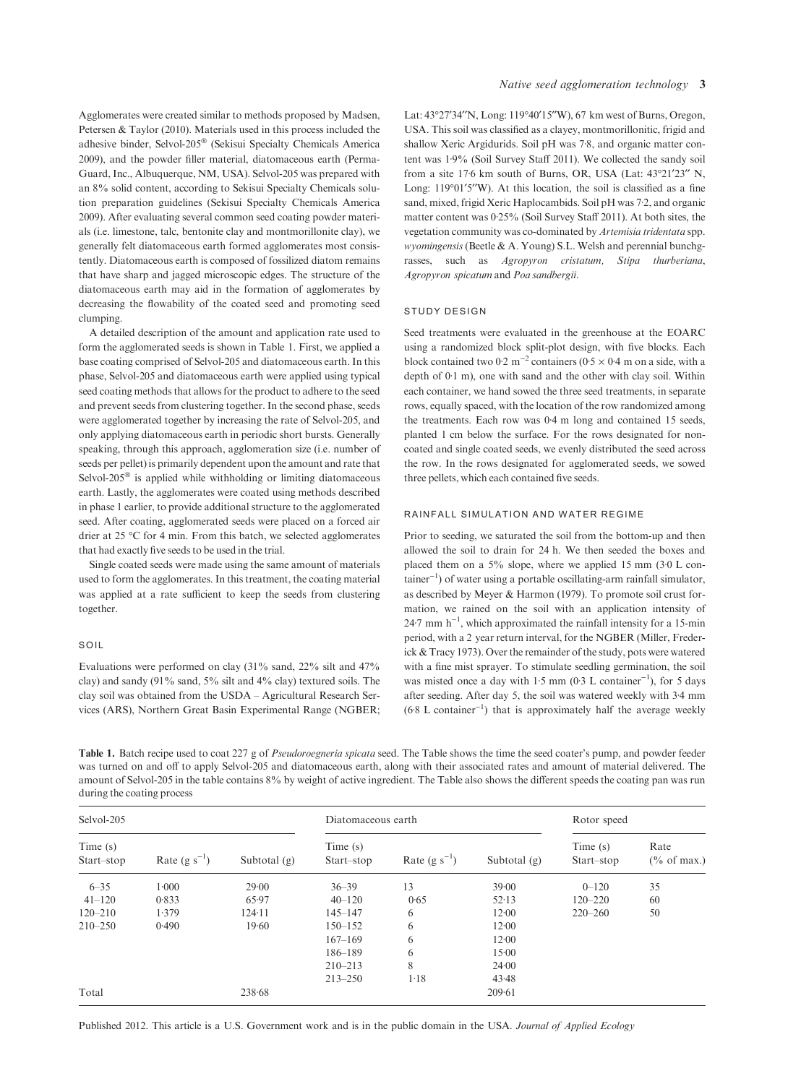Agglomerates were created similar to methods proposed by Madsen, Petersen & Taylor (2010). Materials used in this process included the adhesive binder, Selvol-205® (Sekisui Specialty Chemicals America 2009), and the powder filler material, diatomaceous earth (Perma-Guard, Inc., Albuquerque, NM, USA). Selvol-205 was prepared with an 8% solid content, according to Sekisui Specialty Chemicals solution preparation guidelines (Sekisui Specialty Chemicals America 2009). After evaluating several common seed coating powder materials (i.e. limestone, talc, bentonite clay and montmorillonite clay), we generally felt diatomaceous earth formed agglomerates most consistently. Diatomaceous earth is composed of fossilized diatom remains that have sharp and jagged microscopic edges. The structure of the diatomaceous earth may aid in the formation of agglomerates by decreasing the flowability of the coated seed and promoting seed clumping.

A detailed description of the amount and application rate used to form the agglomerated seeds is shown in Table 1. First, we applied a base coating comprised of Selvol-205 and diatomaceous earth. In this phase, Selvol-205 and diatomaceous earth were applied using typical seed coating methods that allows for the product to adhere to the seed and prevent seeds from clustering together. In the second phase, seeds were agglomerated together by increasing the rate of Selvol-205, and only applying diatomaceous earth in periodic short bursts. Generally speaking, through this approach, agglomeration size (i.e. number of seeds per pellet) is primarily dependent upon the amount and rate that Selvol-205 $^{\circ}$  is applied while withholding or limiting diatomaceous earth. Lastly, the agglomerates were coated using methods described in phase 1 earlier, to provide additional structure to the agglomerated seed. After coating, agglomerated seeds were placed on a forced air drier at 25  $\degree$ C for 4 min. From this batch, we selected agglomerates that had exactly five seeds to be used in the trial.

Single coated seeds were made using the same amount of materials used to form the agglomerates. In this treatment, the coating material was applied at a rate sufficient to keep the seeds from clustering together.

## SOIL

Evaluations were performed on clay (31% sand, 22% silt and 47% clay) and sandy (91% sand, 5% silt and 4% clay) textured soils. The clay soil was obtained from the USDA – Agricultural Research Services (ARS), Northern Great Basin Experimental Range (NGBER; Lat: 43°27'34"N, Long: 119°40'15"W), 67 km west of Burns, Oregon, USA. This soil was classified as a clayey, montmorillonitic, frigid and shallow Xeric Argidurids. Soil pH was 7.8, and organic matter content was  $1.9\%$  (Soil Survey Staff 2011). We collected the sandy soil from a site  $176$  km south of Burns, OR, USA (Lat:  $43^{\circ}21'23''$  N, Long:  $119°01′5′′W$ ). At this location, the soil is classified as a fine sand, mixed, frigid Xeric Haplocambids. Soil pH was 7.2, and organic matter content was  $0.25\%$  (Soil Survey Staff 2011). At both sites, the vegetation community was co-dominated by Artemisia tridentata spp. wyomingensis (Beetle & A. Young) S.L. Welsh and perennial bunchgrasses, such as Agropyron cristatum, Stipa thurberiana, Agropyron spicatum and Poa sandbergii.

#### STUDY DESIGN

Seed treatments were evaluated in the greenhouse at the EOARC using a randomized block split-plot design, with five blocks. Each block contained two 0.2 m<sup>-2</sup> containers (0.5  $\times$  0.4 m on a side, with a depth of  $0.1$  m), one with sand and the other with clay soil. Within each container, we hand sowed the three seed treatments, in separate rows, equally spaced, with the location of the row randomized among the treatments. Each row was 0.4 m long and contained 15 seeds, planted 1 cm below the surface. For the rows designated for noncoated and single coated seeds, we evenly distributed the seed across the row. In the rows designated for agglomerated seeds, we sowed three pellets, which each contained five seeds.

## RAINFALL SIMULATION AND WATER REGIME

Prior to seeding, we saturated the soil from the bottom-up and then allowed the soil to drain for 24 h. We then seeded the boxes and placed them on a  $5\%$  slope, where we applied 15 mm (3.0 L con $tainer^{-1}$ ) of water using a portable oscillating-arm rainfall simulator, as described by Meyer & Harmon (1979). To promote soil crust formation, we rained on the soil with an application intensity of  $24.7$  mm h<sup>-1</sup>, which approximated the rainfall intensity for a 15-min period, with a 2 year return interval, for the NGBER (Miller, Frederick & Tracy 1973). Over the remainder of the study, pots were watered with a fine mist sprayer. To stimulate seedling germination, the soil was misted once a day with 1.5 mm (0.3 L container<sup>-1</sup>), for 5 days after seeding. After day 5, the soil was watered weekly with 3.4 mm  $(6.8 \text{ L container}^{-1})$  that is approximately half the average weekly

Table 1. Batch recipe used to coat 227 g of Pseudoroegneria spicata seed. The Table shows the time the seed coater's pump, and powder feeder was turned on and off to apply Selvol-205 and diatomaceous earth, along with their associated rates and amount of material delivered. The amount of Selvol-205 in the table contains 8% by weight of active ingredient. The Table also shows the different speeds the coating pan was run during the coating process

| Selvol-205            |                   |                | Diatomaceous earth    |                   |                | Rotor speed            |                        |
|-----------------------|-------------------|----------------|-----------------------|-------------------|----------------|------------------------|------------------------|
| Time(s)<br>Start-stop | Rate $(g s^{-1})$ | Subtotal $(g)$ | Time(s)<br>Start-stop | Rate $(g s^{-1})$ | Subtotal $(g)$ | Time (s)<br>Start-stop | Rate<br>$(\%$ of max.) |
| $6 - 35$              | 1.000             | 29.00          | $36 - 39$             | 13                | 39.00          | $0 - 120$              | 35                     |
| $41 - 120$            | 0.833             | 65.97          | $40 - 120$            | 0.65              | 52.13          | $120 - 220$            | 60                     |
| $120 - 210$           | 1.379             | 124.11         | $145 - 147$           | 6                 | 12.00          | $220 - 260$            | 50                     |
| $210 - 250$           | 0.490             | 19.60          | $150 - 152$           | 6                 | 12.00          |                        |                        |
|                       |                   |                | $167 - 169$           | 6                 | 12.00          |                        |                        |
|                       |                   |                | 186-189               | 6                 | 15:00          |                        |                        |
|                       |                   |                | $210 - 213$           | 8                 | 24.00          |                        |                        |
|                       |                   |                | $213 - 250$           | $1-18$            | 43.48          |                        |                        |
| Total                 |                   | 238.68         |                       |                   | 209.61         |                        |                        |

Published 2012. This article is a U.S. Government work and is in the public domain in the USA. Journal of Applied Ecology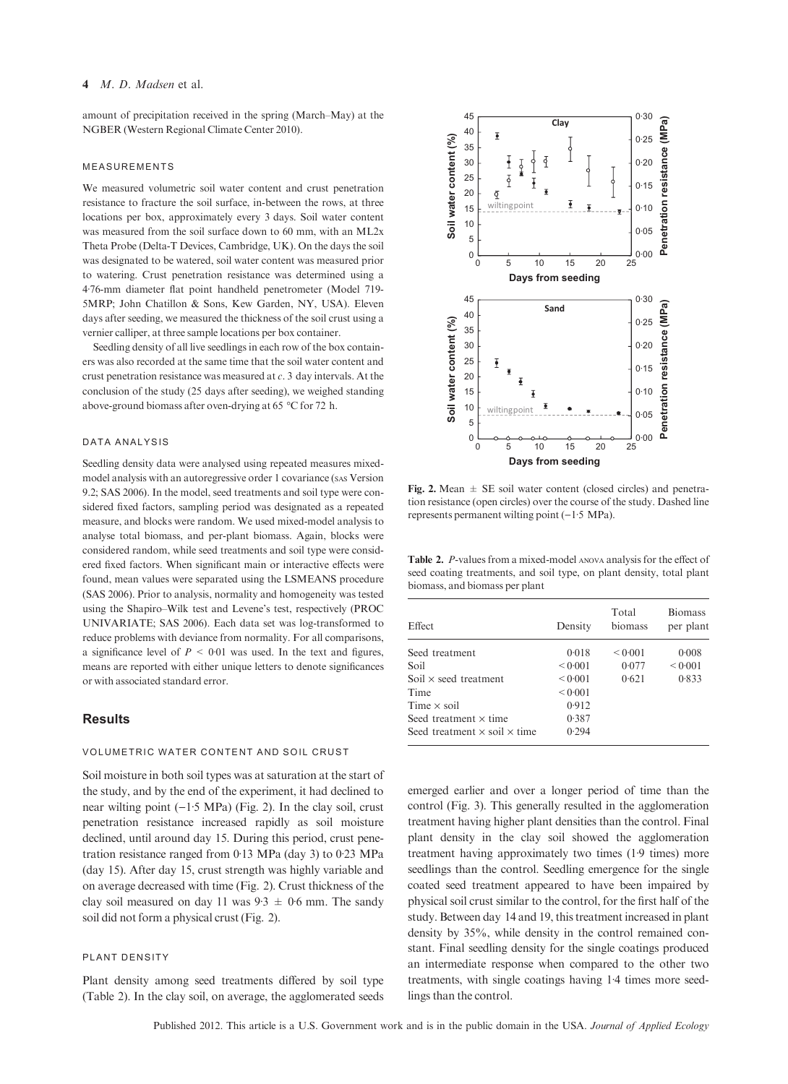# 4 *M. D. Madsen* et al.

amount of precipitation received in the spring (March–May) at the NGBER (Western Regional Climate Center 2010).

#### MEASUREMENTS

We measured volumetric soil water content and crust penetration resistance to fracture the soil surface, in-between the rows, at three locations per box, approximately every 3 days. Soil water content was measured from the soil surface down to 60 mm, with an ML2x Theta Probe (Delta-T Devices, Cambridge, UK). On the days the soil was designated to be watered, soil water content was measured prior to watering. Crust penetration resistance was determined using a 4<sup>.76</sup>-mm diameter flat point handheld penetrometer (Model 719-5MRP; John Chatillon & Sons, Kew Garden, NY, USA). Eleven days after seeding, we measured the thickness of the soil crust using a vernier calliper, at three sample locations per box container.

Seedling density of all live seedlings in each row of the box containers was also recorded at the same time that the soil water content and crust penetration resistance was measured at c. 3 day intervals. At the conclusion of the study (25 days after seeding), we weighed standing above-ground biomass after oven-drying at 65 °C for 72 h.

## DATA ANALYSIS

Seedling density data were analysed using repeated measures mixedmodel analysis with an autoregressive order 1 covariance (sas Version 9.2; SAS 2006). In the model, seed treatments and soil type were considered fixed factors, sampling period was designated as a repeated measure, and blocks were random. We used mixed-model analysis to analyse total biomass, and per-plant biomass. Again, blocks were considered random, while seed treatments and soil type were considered fixed factors. When significant main or interactive effects were found, mean values were separated using the LSMEANS procedure (SAS 2006). Prior to analysis, normality and homogeneity was tested using the Shapiro–Wilk test and Levene's test, respectively (PROC UNIVARIATE; SAS 2006). Each data set was log-transformed to reduce problems with deviance from normality. For all comparisons, a significance level of  $P \leq 0.01$  was used. In the text and figures, means are reported with either unique letters to denote significances or with associated standard error.

# **Results**

#### VOLUMETRIC WATER CONTENT AND SOIL CRUST

Soil moisture in both soil types was at saturation at the start of the study, and by the end of the experiment, it had declined to near wilting point  $(-1.5 \text{ MPa})$  (Fig. 2). In the clay soil, crust penetration resistance increased rapidly as soil moisture declined, until around day 15. During this period, crust penetration resistance ranged from  $0.13$  MPa (day 3) to  $0.23$  MPa (day 15). After day 15, crust strength was highly variable and on average decreased with time (Fig. 2). Crust thickness of the clay soil measured on day 11 was  $9.3 \pm 0.6$  mm. The sandy soil did not form a physical crust (Fig. 2).

#### PLANT DENSITY

Plant density among seed treatments differed by soil type (Table 2). In the clay soil, on average, the agglomerated seeds



Fig. 2. Mean  $\pm$  SE soil water content (closed circles) and penetration resistance (open circles) over the course of the study. Dashed line represents permanent wilting point  $(-1.5 \text{ MPa})$ .

Table 2. P-values from a mixed-model ANOVA analysis for the effect of seed coating treatments, and soil type, on plant density, total plant biomass, and biomass per plant

| <b>Effect</b>                              | Density | Total<br>biomass | <b>Biomass</b><br>per plant |
|--------------------------------------------|---------|------------------|-----------------------------|
| Seed treatment                             | 0.018   | < 0.001          | 0.008                       |
| Soil                                       | 0.001   | 0.077            | < 0.001                     |
| Soil $\times$ seed treatment               | 0.001   | 0.621            | 0.833                       |
| Time                                       | < 0.001 |                  |                             |
| Time $\times$ soil                         | 0.912   |                  |                             |
| Seed treatment $\times$ time               | 0.387   |                  |                             |
| Seed treatment $\times$ soil $\times$ time | 0.294   |                  |                             |

emerged earlier and over a longer period of time than the control (Fig. 3). This generally resulted in the agglomeration treatment having higher plant densities than the control. Final plant density in the clay soil showed the agglomeration treatment having approximately two times  $(1.9 \text{ times})$  more seedlings than the control. Seedling emergence for the single coated seed treatment appeared to have been impaired by physical soil crust similar to the control, for the first half of the study. Between day 14 and 19, this treatment increased in plant density by 35%, while density in the control remained constant. Final seedling density for the single coatings produced an intermediate response when compared to the other two treatments, with single coatings having 1.4 times more seedlings than the control.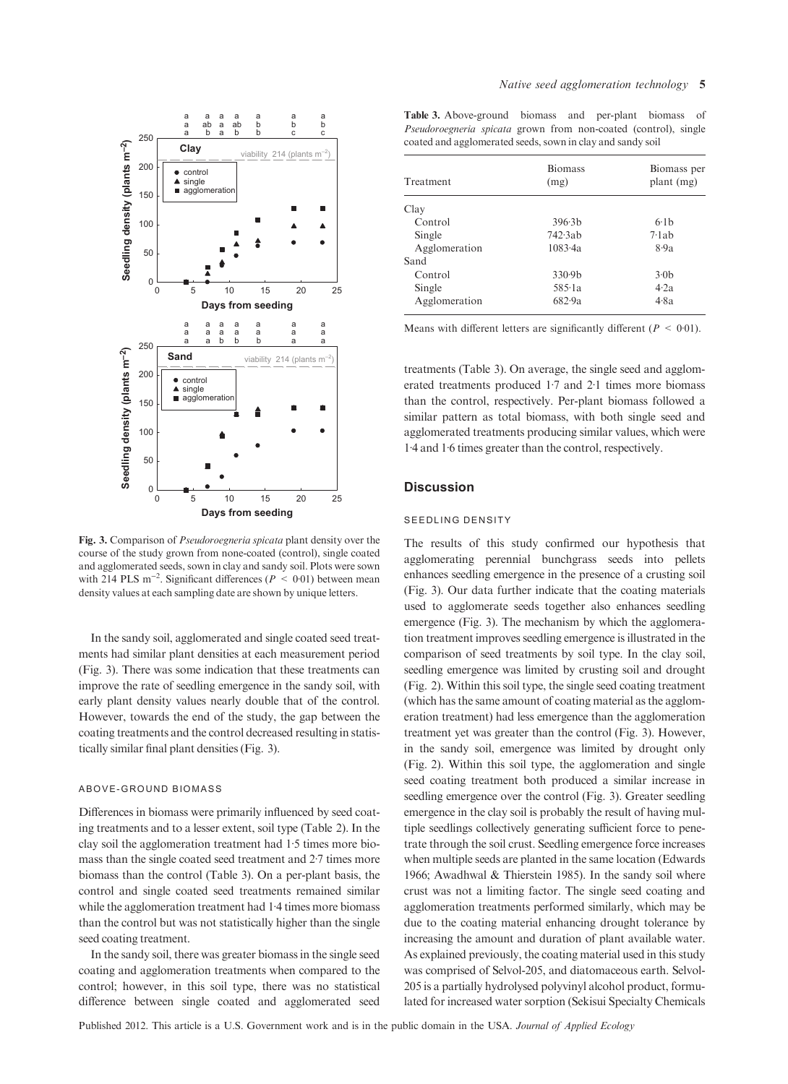

Fig. 3. Comparison of Pseudoroegneria spicata plant density over the course of the study grown from none-coated (control), single coated and agglomerated seeds, sown in clay and sandy soil. Plots were sown with 214 PLS m<sup>-2</sup>. Significant differences ( $P < 0.01$ ) between mean density values at each sampling date are shown by unique letters.

In the sandy soil, agglomerated and single coated seed treatments had similar plant densities at each measurement period (Fig. 3). There was some indication that these treatments can improve the rate of seedling emergence in the sandy soil, with early plant density values nearly double that of the control. However, towards the end of the study, the gap between the coating treatments and the control decreased resulting in statistically similar final plant densities (Fig. 3).

#### ABOVE-GROUND BIOMASS

Differences in biomass were primarily influenced by seed coating treatments and to a lesser extent, soil type (Table 2). In the clay soil the agglomeration treatment had 1.5 times more biomass than the single coated seed treatment and 2.7 times more biomass than the control (Table 3). On a per-plant basis, the control and single coated seed treatments remained similar while the agglomeration treatment had  $1.4$  times more biomass than the control but was not statistically higher than the single seed coating treatment.

In the sandy soil, there was greater biomass in the single seed coating and agglomeration treatments when compared to the control; however, in this soil type, there was no statistical difference between single coated and agglomerated seed

Table 3. Above-ground biomass and per-plant biomass of Pseudoroegneria spicata grown from non-coated (control), single coated and agglomerated seeds, sown in clay and sandy soil

| Treatment     | <b>Biomass</b><br>(mg) | Biomass per<br>plant (mg) |
|---------------|------------------------|---------------------------|
| Clay          |                        |                           |
| Control       | 396.3 <sub>b</sub>     | 6.1 <sub>b</sub>          |
| Single        | 742.3ab                | 7·1ab                     |
| Agglomeration | 1083.4a                | 8.9a                      |
| Sand          |                        |                           |
| Control       | 330.9 <sub>b</sub>     | 3.0 <sub>b</sub>          |
| Single        | 585·1a                 | 4.2a                      |
| Agglomeration | 682.9a                 | 4.8a                      |

Means with different letters are significantly different ( $P < 0.01$ ).

treatments (Table 3). On average, the single seed and agglomerated treatments produced  $1.7$  and  $2.1$  times more biomass than the control, respectively. Per-plant biomass followed a similar pattern as total biomass, with both single seed and agglomerated treatments producing similar values, which were 14 and 16 times greater than the control, respectively.

#### **Discussion**

#### SEEDLING DENSITY

The results of this study confirmed our hypothesis that agglomerating perennial bunchgrass seeds into pellets enhances seedling emergence in the presence of a crusting soil (Fig. 3). Our data further indicate that the coating materials used to agglomerate seeds together also enhances seedling emergence (Fig. 3). The mechanism by which the agglomeration treatment improves seedling emergence is illustrated in the comparison of seed treatments by soil type. In the clay soil, seedling emergence was limited by crusting soil and drought (Fig. 2). Within this soil type, the single seed coating treatment (which has the same amount of coating material as the agglomeration treatment) had less emergence than the agglomeration treatment yet was greater than the control (Fig. 3). However, in the sandy soil, emergence was limited by drought only (Fig. 2). Within this soil type, the agglomeration and single seed coating treatment both produced a similar increase in seedling emergence over the control (Fig. 3). Greater seedling emergence in the clay soil is probably the result of having multiple seedlings collectively generating sufficient force to penetrate through the soil crust. Seedling emergence force increases when multiple seeds are planted in the same location (Edwards 1966; Awadhwal & Thierstein 1985). In the sandy soil where crust was not a limiting factor. The single seed coating and agglomeration treatments performed similarly, which may be due to the coating material enhancing drought tolerance by increasing the amount and duration of plant available water. As explained previously, the coating material used in this study was comprised of Selvol-205, and diatomaceous earth. Selvol-205 is a partially hydrolysed polyvinyl alcohol product, formulated for increased water sorption (Sekisui Specialty Chemicals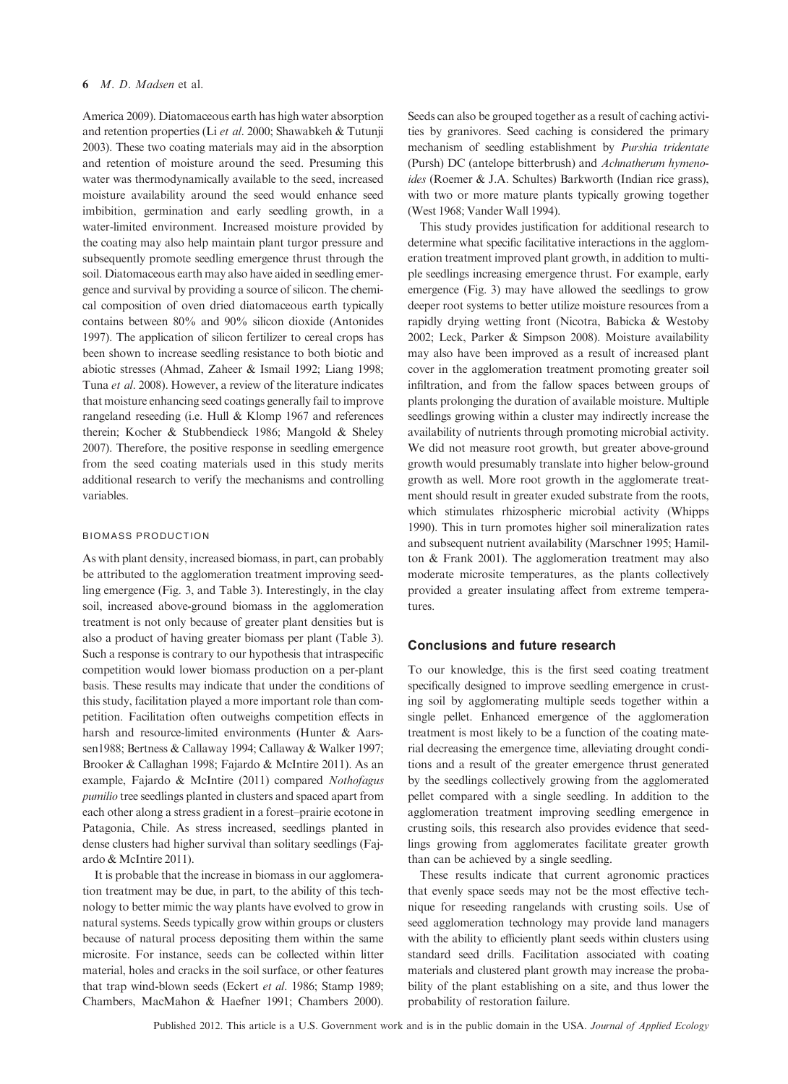America 2009). Diatomaceous earth has high water absorption and retention properties (Li et al. 2000; Shawabkeh & Tutunji 2003). These two coating materials may aid in the absorption and retention of moisture around the seed. Presuming this water was thermodynamically available to the seed, increased moisture availability around the seed would enhance seed imbibition, germination and early seedling growth, in a water-limited environment. Increased moisture provided by the coating may also help maintain plant turgor pressure and subsequently promote seedling emergence thrust through the soil. Diatomaceous earth may also have aided in seedling emergence and survival by providing a source of silicon. The chemical composition of oven dried diatomaceous earth typically contains between 80% and 90% silicon dioxide (Antonides 1997). The application of silicon fertilizer to cereal crops has been shown to increase seedling resistance to both biotic and abiotic stresses (Ahmad, Zaheer & Ismail 1992; Liang 1998; Tuna et al. 2008). However, a review of the literature indicates that moisture enhancing seed coatings generally fail to improve rangeland reseeding (i.e. Hull & Klomp 1967 and references therein; Kocher & Stubbendieck 1986; Mangold & Sheley 2007). Therefore, the positive response in seedling emergence from the seed coating materials used in this study merits additional research to verify the mechanisms and controlling variables.

#### BIOMASS PRODUCTION

As with plant density, increased biomass, in part, can probably be attributed to the agglomeration treatment improving seedling emergence (Fig. 3, and Table 3). Interestingly, in the clay soil, increased above-ground biomass in the agglomeration treatment is not only because of greater plant densities but is also a product of having greater biomass per plant (Table 3). Such a response is contrary to our hypothesis that intraspecific competition would lower biomass production on a per-plant basis. These results may indicate that under the conditions of this study, facilitation played a more important role than competition. Facilitation often outweighs competition effects in harsh and resource-limited environments (Hunter & Aarssen1988; Bertness & Callaway 1994; Callaway & Walker 1997; Brooker & Callaghan 1998; Fajardo & McIntire 2011). As an example, Fajardo & McIntire (2011) compared Nothofagus pumilio tree seedlings planted in clusters and spaced apart from each other along a stress gradient in a forest–prairie ecotone in Patagonia, Chile. As stress increased, seedlings planted in dense clusters had higher survival than solitary seedlings (Fajardo & McIntire 2011).

It is probable that the increase in biomass in our agglomeration treatment may be due, in part, to the ability of this technology to better mimic the way plants have evolved to grow in natural systems. Seeds typically grow within groups or clusters because of natural process depositing them within the same microsite. For instance, seeds can be collected within litter material, holes and cracks in the soil surface, or other features that trap wind-blown seeds (Eckert et al. 1986; Stamp 1989; Chambers, MacMahon & Haefner 1991; Chambers 2000). Seeds can also be grouped together as a result of caching activities by granivores. Seed caching is considered the primary mechanism of seedling establishment by Purshia tridentate (Pursh) DC (antelope bitterbrush) and Achnatherum hymenoides (Roemer & J.A. Schultes) Barkworth (Indian rice grass), with two or more mature plants typically growing together (West 1968; Vander Wall 1994).

This study provides justification for additional research to determine what specific facilitative interactions in the agglomeration treatment improved plant growth, in addition to multiple seedlings increasing emergence thrust. For example, early emergence (Fig. 3) may have allowed the seedlings to grow deeper root systems to better utilize moisture resources from a rapidly drying wetting front (Nicotra, Babicka & Westoby 2002; Leck, Parker & Simpson 2008). Moisture availability may also have been improved as a result of increased plant cover in the agglomeration treatment promoting greater soil infiltration, and from the fallow spaces between groups of plants prolonging the duration of available moisture. Multiple seedlings growing within a cluster may indirectly increase the availability of nutrients through promoting microbial activity. We did not measure root growth, but greater above-ground growth would presumably translate into higher below-ground growth as well. More root growth in the agglomerate treatment should result in greater exuded substrate from the roots, which stimulates rhizospheric microbial activity (Whipps 1990). This in turn promotes higher soil mineralization rates and subsequent nutrient availability (Marschner 1995; Hamilton & Frank 2001). The agglomeration treatment may also moderate microsite temperatures, as the plants collectively provided a greater insulating affect from extreme temperatures.

## Conclusions and future research

To our knowledge, this is the first seed coating treatment specifically designed to improve seedling emergence in crusting soil by agglomerating multiple seeds together within a single pellet. Enhanced emergence of the agglomeration treatment is most likely to be a function of the coating material decreasing the emergence time, alleviating drought conditions and a result of the greater emergence thrust generated by the seedlings collectively growing from the agglomerated pellet compared with a single seedling. In addition to the agglomeration treatment improving seedling emergence in crusting soils, this research also provides evidence that seedlings growing from agglomerates facilitate greater growth than can be achieved by a single seedling.

These results indicate that current agronomic practices that evenly space seeds may not be the most effective technique for reseeding rangelands with crusting soils. Use of seed agglomeration technology may provide land managers with the ability to efficiently plant seeds within clusters using standard seed drills. Facilitation associated with coating materials and clustered plant growth may increase the probability of the plant establishing on a site, and thus lower the probability of restoration failure.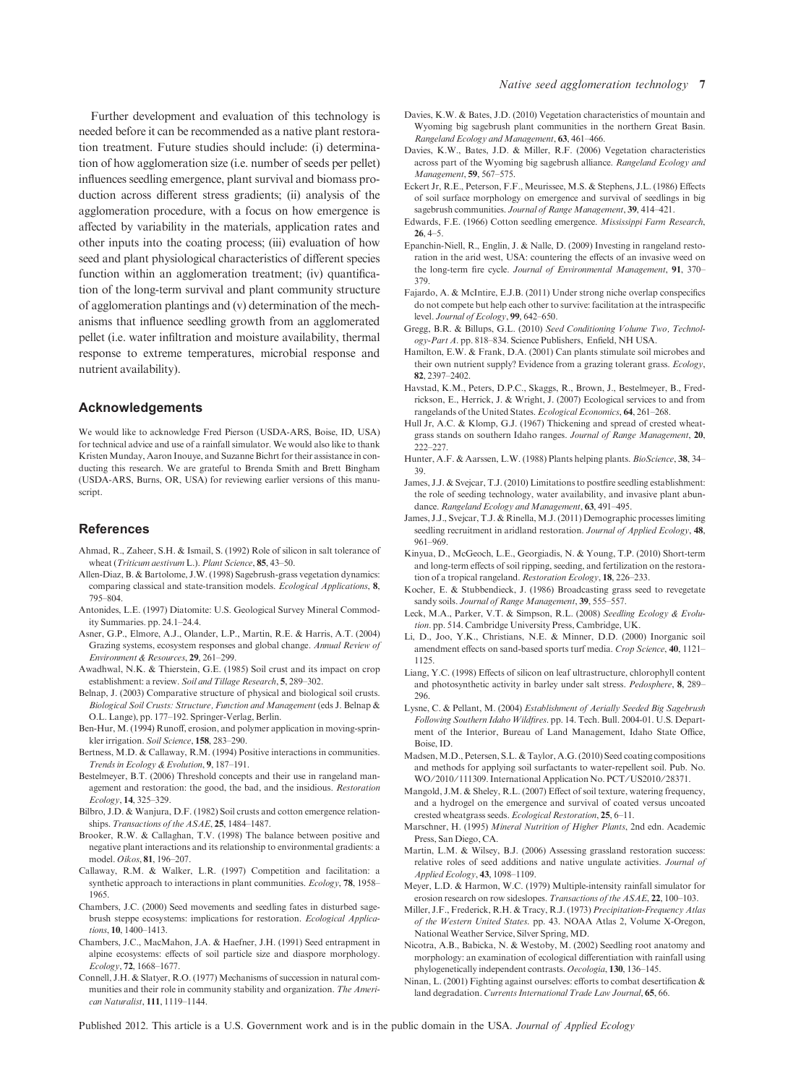Further development and evaluation of this technology is needed before it can be recommended as a native plant restoration treatment. Future studies should include: (i) determination of how agglomeration size (i.e. number of seeds per pellet) influences seedling emergence, plant survival and biomass production across different stress gradients; (ii) analysis of the agglomeration procedure, with a focus on how emergence is affected by variability in the materials, application rates and other inputs into the coating process; (iii) evaluation of how seed and plant physiological characteristics of different species function within an agglomeration treatment; (iv) quantification of the long-term survival and plant community structure of agglomeration plantings and (v) determination of the mechanisms that influence seedling growth from an agglomerated pellet (i.e. water infiltration and moisture availability, thermal response to extreme temperatures, microbial response and nutrient availability).

#### Acknowledgements

We would like to acknowledge Fred Pierson (USDA-ARS, Boise, ID, USA) for technical advice and use of a rainfall simulator. We would also like to thank Kristen Munday, Aaron Inouye, and Suzanne Bichrt for their assistance in conducting this research. We are grateful to Brenda Smith and Brett Bingham (USDA-ARS, Burns, OR, USA) for reviewing earlier versions of this manuscript.

### References

- Ahmad, R., Zaheer, S.H. & Ismail, S. (1992) Role of silicon in salt tolerance of wheat (Triticum aestivum L.). Plant Science, 85, 43-50.
- Allen-Diaz, B. & Bartolome, J.W. (1998) Sagebrush-grass vegetation dynamics: comparing classical and state-transition models. Ecological Applications, 8, 795–804.
- Antonides, L.E. (1997) Diatomite: U.S. Geological Survey Mineral Commodity Summaries. pp. 24.1–24.4.
- Asner, G.P., Elmore, A.J., Olander, L.P., Martin, R.E. & Harris, A.T. (2004) Grazing systems, ecosystem responses and global change. Annual Review of Environment & Resources, 29, 261–299.
- Awadhwal, N.K. & Thierstein, G.E. (1985) Soil crust and its impact on crop establishment: a review. Soil and Tillage Research, 5, 289–302.
- Belnap, J. (2003) Comparative structure of physical and biological soil crusts. Biological Soil Crusts: Structure, Function and Management (eds J. Belnap & O.L. Lange), pp. 177–192. Springer-Verlag, Berlin.
- Ben-Hur, M. (1994) Runoff, erosion, and polymer application in moving-sprinkler irrigation. Soil Science, 158, 283-290.
- Bertness, M.D. & Callaway, R.M. (1994) Positive interactions in communities. Trends in Ecology & Evolution, 9, 187–191.
- Bestelmeyer, B.T. (2006) Threshold concepts and their use in rangeland management and restoration: the good, the bad, and the insidious. Restoration Ecology, 14, 325–329.
- Bilbro, J.D. & Wanjura, D.F. (1982) Soil crusts and cotton emergence relationships. Transactions of the ASAE, 25, 1484–1487.
- Brooker, R.W. & Callaghan, T.V. (1998) The balance between positive and negative plant interactions and its relationship to environmental gradients: a model. Oikos, 81, 196–207.
- Callaway, R.M. & Walker, L.R. (1997) Competition and facilitation: a synthetic approach to interactions in plant communities. Ecology, 78, 1958– 1965.
- Chambers, J.C. (2000) Seed movements and seedling fates in disturbed sagebrush steppe ecosystems: implications for restoration. *Ecological Applica*tions, 10, 1400–1413.
- Chambers, J.C., MacMahon, J.A. & Haefner, J.H. (1991) Seed entrapment in alpine ecosystems: effects of soil particle size and diaspore morphology. Ecology, 72, 1668–1677.
- Connell, J.H. & Slatyer, R.O. (1977) Mechanisms of succession in natural communities and their role in community stability and organization. The American Naturalist, 111, 1119–1144.
- Davies, K.W. & Bates, J.D. (2010) Vegetation characteristics of mountain and Wyoming big sagebrush plant communities in the northern Great Basin. Rangeland Ecology and Management, 63, 461–466.
- Davies, K.W., Bates, J.D. & Miller, R.F. (2006) Vegetation characteristics across part of the Wyoming big sagebrush alliance. Rangeland Ecology and Management, 59, 567–575.
- Eckert Jr, R.E., Peterson, F.F., Meurissee, M.S. & Stephens, J.L. (1986) Effects of soil surface morphology on emergence and survival of seedlings in big sagebrush communities. Journal of Range Management, 39, 414-421.
- Edwards, F.E. (1966) Cotton seedling emergence. Mississippi Farm Research, 26, 4–5.
- Epanchin-Niell, R., Englin, J. & Nalle, D. (2009) Investing in rangeland restoration in the arid west, USA: countering the effects of an invasive weed on the long-term fire cycle. Journal of Environmental Management, 91, 370-379.
- Fajardo, A. & McIntire, E.J.B. (2011) Under strong niche overlap conspecifics do not compete but help each other to survive: facilitation at the intraspecific level. Journal of Ecology, 99, 642–650.
- Gregg, B.R. & Billups, G.L. (2010) Seed Conditioning Volume Two, Technology-Part A. pp. 818–834. Science Publishers, Enfield, NH USA.
- Hamilton, E.W. & Frank, D.A. (2001) Can plants stimulate soil microbes and their own nutrient supply? Evidence from a grazing tolerant grass. Ecology, 82, 2397–2402.
- Havstad, K.M., Peters, D.P.C., Skaggs, R., Brown, J., Bestelmeyer, B., Fredrickson, E., Herrick, J. & Wright, J. (2007) Ecological services to and from rangelands of the United States. Ecological Economics, 64, 261–268.
- Hull Jr, A.C. & Klomp, G.J. (1967) Thickening and spread of crested wheatgrass stands on southern Idaho ranges. Journal of Range Management, 20, 222–227.
- Hunter, A.F. & Aarssen, L.W. (1988) Plants helping plants. BioScience, 38, 34-39.
- James, J.J. & Svejcar, T.J. (2010) Limitations to postfire seedling establishment: the role of seeding technology, water availability, and invasive plant abundance. Rangeland Ecology and Management, 63, 491-495.
- James, J.J., Svejcar, T.J. & Rinella, M.J. (2011) Demographic processes limiting seedling recruitment in aridland restoration. Journal of Applied Ecology, 48, 961–969.
- Kinyua, D., McGeoch, L.E., Georgiadis, N. & Young, T.P. (2010) Short-term and long-term effects of soil ripping, seeding, and fertilization on the restoration of a tropical rangeland. Restoration Ecology, 18, 226–233.
- Kocher, E. & Stubbendieck, J. (1986) Broadcasting grass seed to revegetate sandy soils. Journal of Range Management, 39, 555-557.
- Leck, M.A., Parker, V.T. & Simpson, R.L. (2008) Seedling Ecology & Evolution. pp. 514. Cambridge University Press, Cambridge, UK.
- Li, D., Joo, Y.K., Christians, N.E. & Minner, D.D. (2000) Inorganic soil amendment effects on sand-based sports turf media. Crop Science, 40, 1121– 1125.
- Liang, Y.C. (1998) Effects of silicon on leaf ultrastructure, chlorophyll content and photosynthetic activity in barley under salt stress. Pedosphere, 8, 289– 296.
- Lysne, C. & Pellant, M. (2004) Establishment of Aerially Seeded Big Sagebrush Following Southern Idaho Wildfires. pp. 14. Tech. Bull. 2004-01. U.S. Department of the Interior, Bureau of Land Management, Idaho State Office, Boise, ID.
- Madsen, M.D., Petersen, S.L. & Taylor, A.G. (2010) Seed coating compositions and methods for applying soil surfactants to water-repellent soil. Pub. No. WO/2010/111309. International Application No. PCT/US2010/28371.
- Mangold, J.M. & Sheley, R.L. (2007) Effect of soil texture, watering frequency, and a hydrogel on the emergence and survival of coated versus uncoated crested wheatgrass seeds. Ecological Restoration, 25, 6–11.
- Marschner, H. (1995) Mineral Nutrition of Higher Plants, 2nd edn. Academic Press, San Diego, CA.
- Martin, L.M. & Wilsey, B.J. (2006) Assessing grassland restoration success: relative roles of seed additions and native ungulate activities. Journal of Applied Ecology, 43, 1098–1109.
- Meyer, L.D. & Harmon, W.C. (1979) Multiple-intensity rainfall simulator for erosion research on row sideslopes. Transactions of the ASAE, 22, 100-103.
- Miller, J.F., Frederick, R.H. & Tracy, R.J. (1973) Precipitation-Frequency Atlas of the Western United States. pp. 43. NOAA Atlas 2, Volume X-Oregon, National Weather Service, Silver Spring, MD.
- Nicotra, A.B., Babicka, N. & Westoby, M. (2002) Seedling root anatomy and morphology: an examination of ecological differentiation with rainfall using phylogenetically independent contrasts. Oecologia, 130, 136–145.
- Ninan, L. (2001) Fighting against ourselves: efforts to combat desertification & land degradation. Currents International Trade Law Journal, 65, 66.
- Published 2012. This article is a U.S. Government work and is in the public domain in the USA. Journal of Applied Ecology